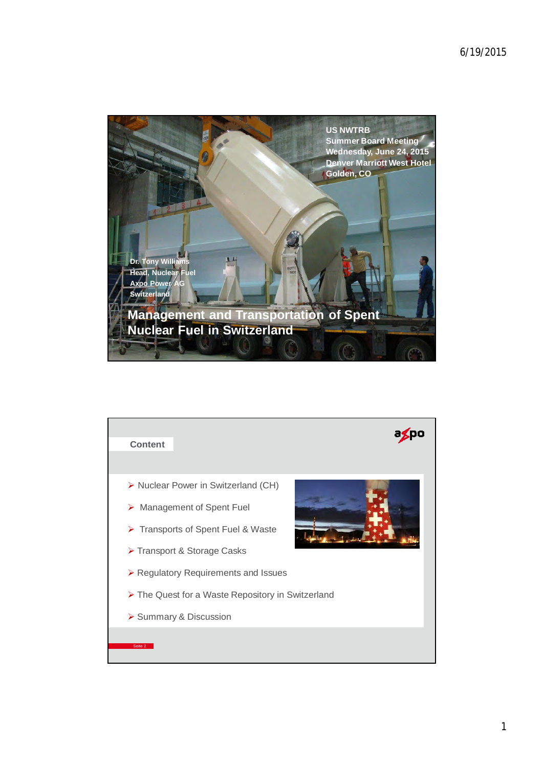

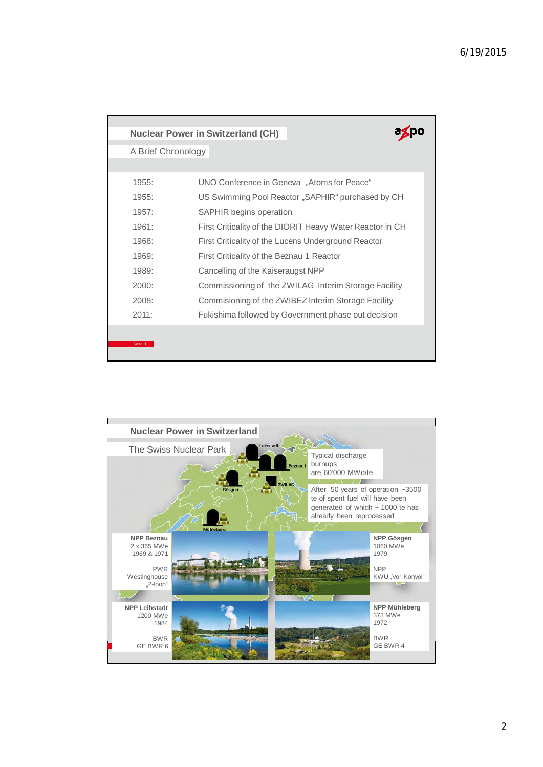|                    | <b>Nuclear Power in Switzerland (CH)</b>                  |  |
|--------------------|-----------------------------------------------------------|--|
| A Brief Chronology |                                                           |  |
|                    |                                                           |  |
| 1955:              | UNO Conference in Geneva "Atoms for Peace"                |  |
| 1955:              | US Swimming Pool Reactor "SAPHIR" purchased by CH         |  |
| 1957:              | <b>SAPHIR begins operation</b>                            |  |
| 1961:              | First Criticality of the DIORIT Heavy Water Reactor in CH |  |
| 1968:              | First Criticality of the Lucens Underground Reactor       |  |
| 1969:              | First Criticality of the Beznau 1 Reactor                 |  |
| 1989:              | Cancelling of the Kaiseraugst NPP                         |  |
| 2000:              | Commissioning of the ZWILAG Interim Storage Facility      |  |
| 2008:              | Commisioning of the ZWIBEZ Interim Storage Facility       |  |
| 2011:              | Fukishima followed by Government phase out decision       |  |
|                    |                                                           |  |
| Seite 3            |                                                           |  |

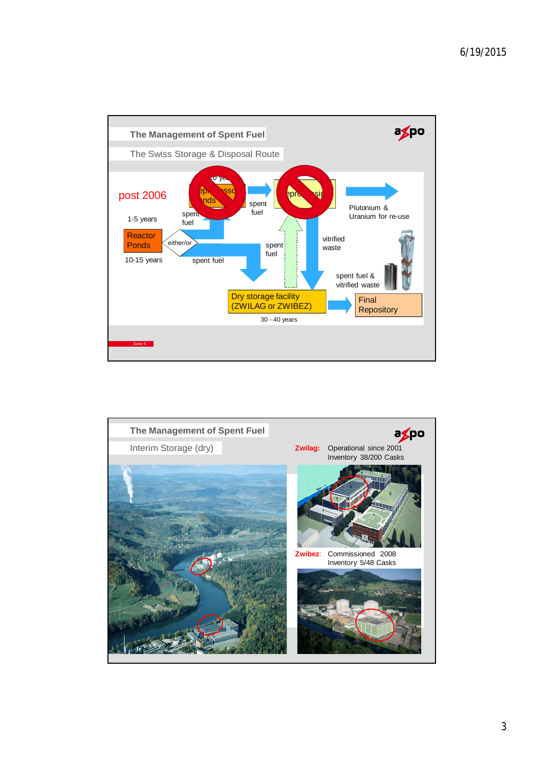

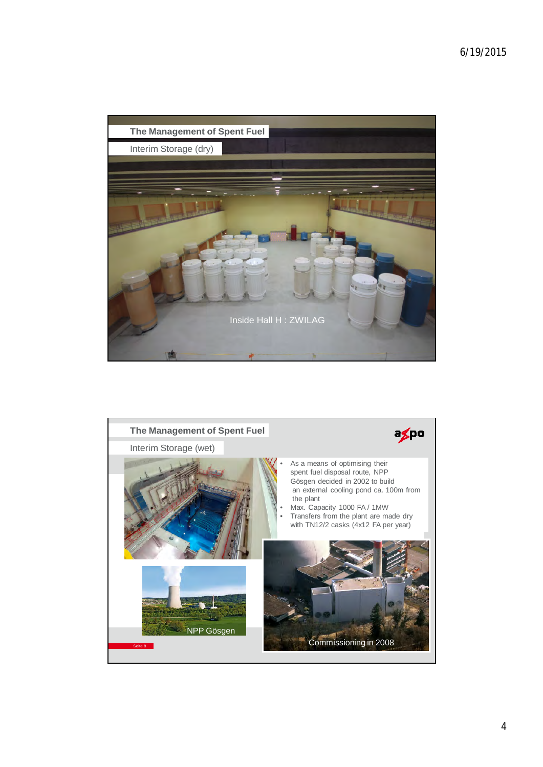

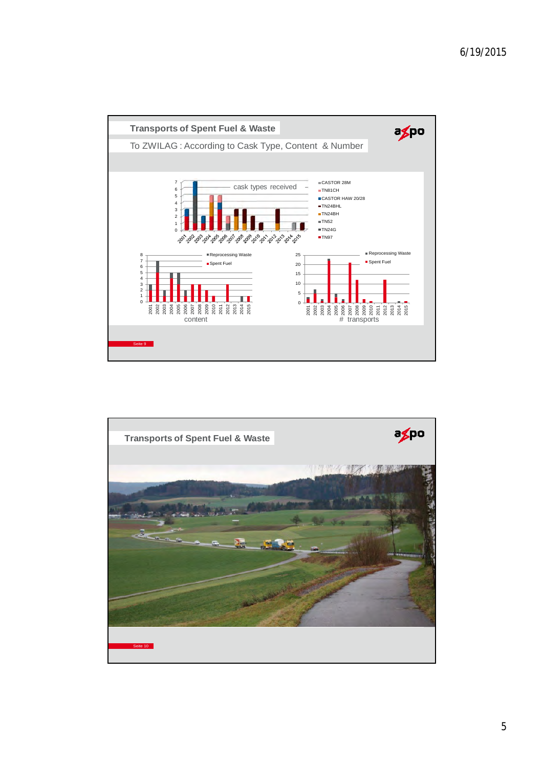

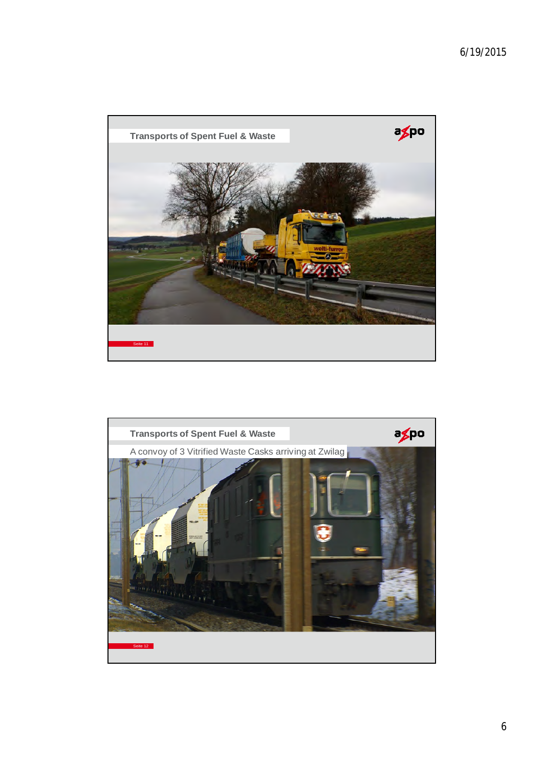

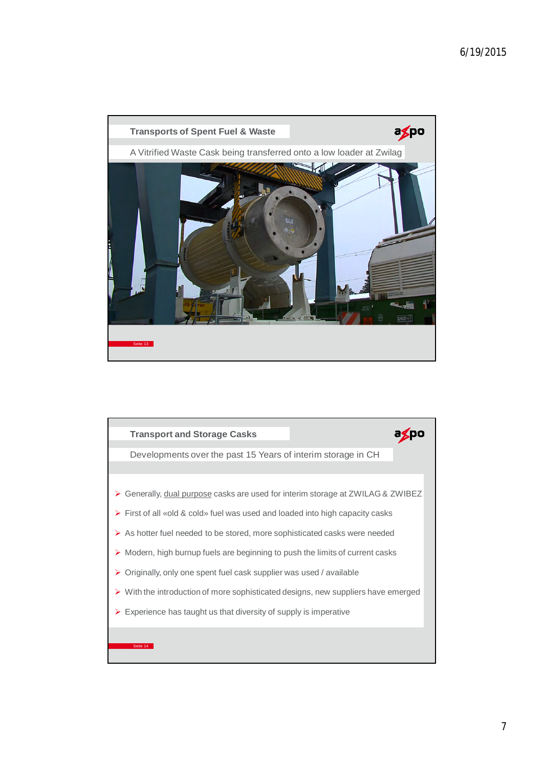

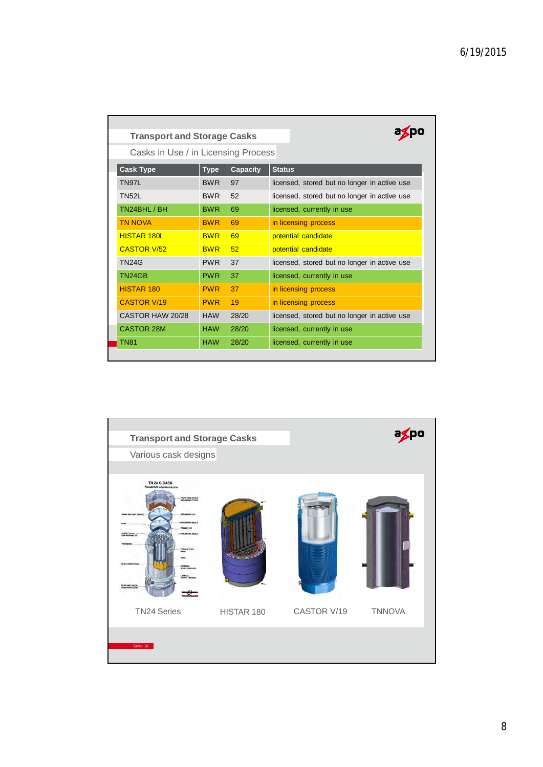| <b>Transport and Storage Casks</b>  |             |                 |                                              |  |
|-------------------------------------|-------------|-----------------|----------------------------------------------|--|
| Casks in Use / in Licensing Process |             |                 |                                              |  |
| <b>Cask Type</b>                    | <b>Type</b> | <b>Capacity</b> | <b>Status</b>                                |  |
| TN97L                               | <b>BWR</b>  | 97              | licensed, stored but no longer in active use |  |
| <b>TN52L</b>                        | <b>BWR</b>  | 52              | licensed, stored but no longer in active use |  |
| TN24BHL / BH                        | <b>BWR</b>  | 69              | licensed, currently in use                   |  |
| <b>TN NOVA</b>                      | <b>BWR</b>  | 69              | in licensing process                         |  |
| <b>HISTAR 180L</b>                  | <b>BWR</b>  | 69              | potential candidate                          |  |
| <b>CASTOR V/52</b>                  | <b>BWR</b>  | 52              | potential candidate                          |  |
| <b>TN24G</b>                        | <b>PWR</b>  | 37              | licensed, stored but no longer in active use |  |
| TN24GB                              | <b>PWR</b>  | 37              | licensed, currently in use                   |  |
| HISTAR 180                          | <b>PWR</b>  | 37              | in licensing process                         |  |
| <b>CASTOR V/19</b>                  | <b>PWR</b>  | 19              | in licensing process                         |  |
| CASTOR HAW 20/28                    | <b>HAW</b>  | 28/20           | licensed, stored but no longer in active use |  |
| <b>CASTOR 28M</b>                   | <b>HAW</b>  | 28/20           | licensed, currently in use                   |  |
| <b>TN81</b>                         | <b>HAW</b>  | 28/20           | licensed, currently in use                   |  |
|                                     |             |                 |                                              |  |

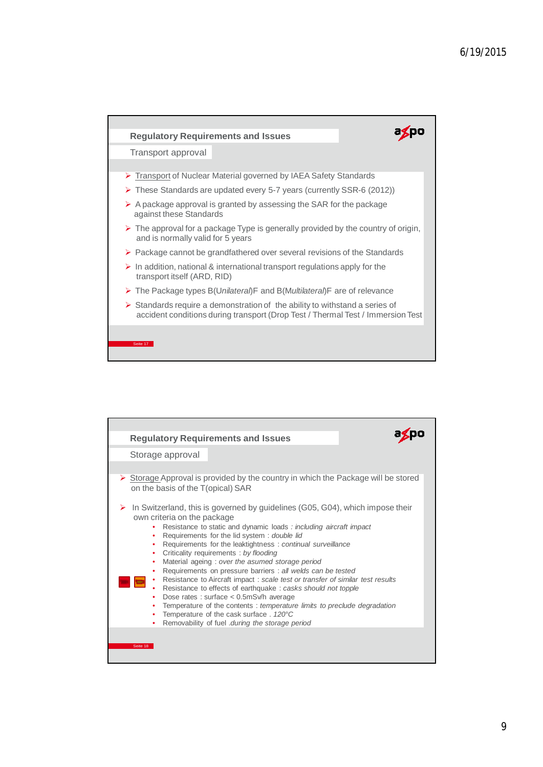

| <b>Regulatory Requirements and Issues</b><br>Storage approval<br>$\triangleright$ Storage Approval is provided by the country in which the Package will be stored<br>on the basis of the T(opical) SAR<br>In Switzerland, this is governed by guidelines (G05, G04), which impose their<br>➤                                                                                                                                                                                                                                                                                                                                                                                                                                                                                 |
|------------------------------------------------------------------------------------------------------------------------------------------------------------------------------------------------------------------------------------------------------------------------------------------------------------------------------------------------------------------------------------------------------------------------------------------------------------------------------------------------------------------------------------------------------------------------------------------------------------------------------------------------------------------------------------------------------------------------------------------------------------------------------|
|                                                                                                                                                                                                                                                                                                                                                                                                                                                                                                                                                                                                                                                                                                                                                                              |
|                                                                                                                                                                                                                                                                                                                                                                                                                                                                                                                                                                                                                                                                                                                                                                              |
|                                                                                                                                                                                                                                                                                                                                                                                                                                                                                                                                                                                                                                                                                                                                                                              |
|                                                                                                                                                                                                                                                                                                                                                                                                                                                                                                                                                                                                                                                                                                                                                                              |
| own criteria on the package<br>Resistance to static and dynamic loads : including aircraft impact<br>Requirements for the lid system: double lid<br>٠<br>Requirements for the leaktightness: continual surveillance<br>Criticality requirements: by flooding<br>Material ageing : over the asumed storage period<br>٠<br>Requirements on pressure barriers : all welds can be tested<br>Resistance to Aircraft impact: scale test or transfer of similar test results<br>Resistance to effects of earthquake : casks should not topple<br>Dose rates : surface $<$ 0.5mSv/h average<br>Temperature of the contents: temperature limits to preclude degradation<br>Temperature of the cask surface . 120°C<br>٠<br>Removability of fuel during the storage period<br>Seite 18 |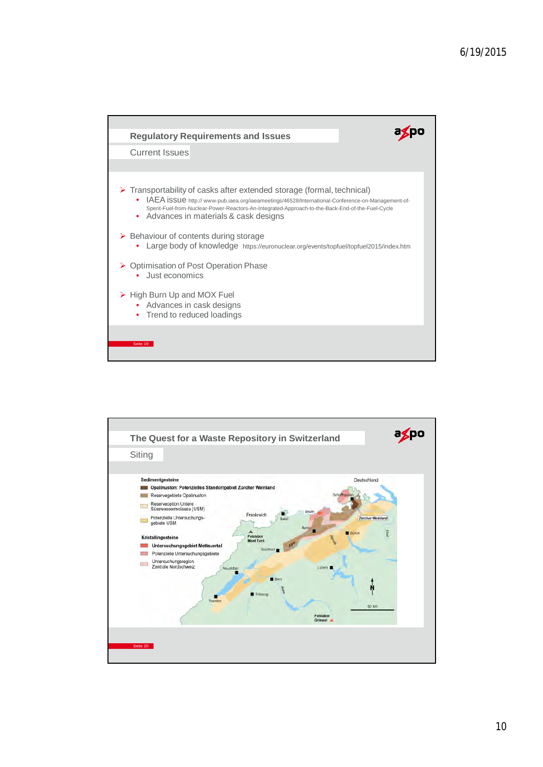

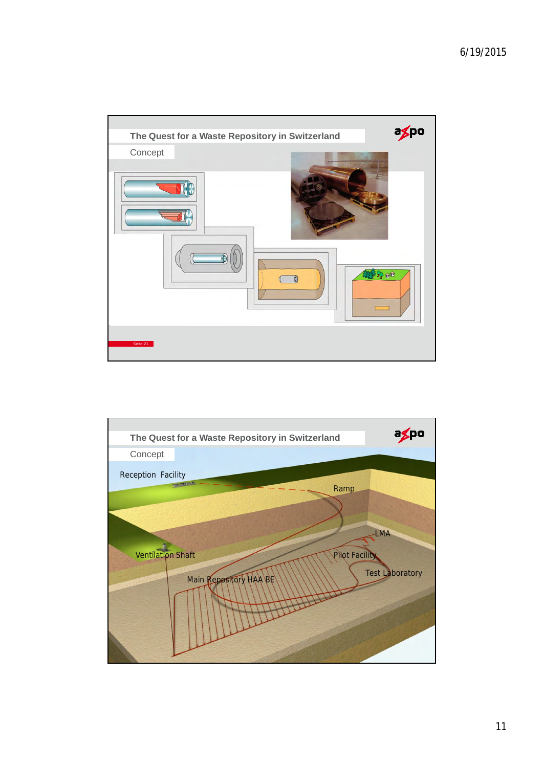

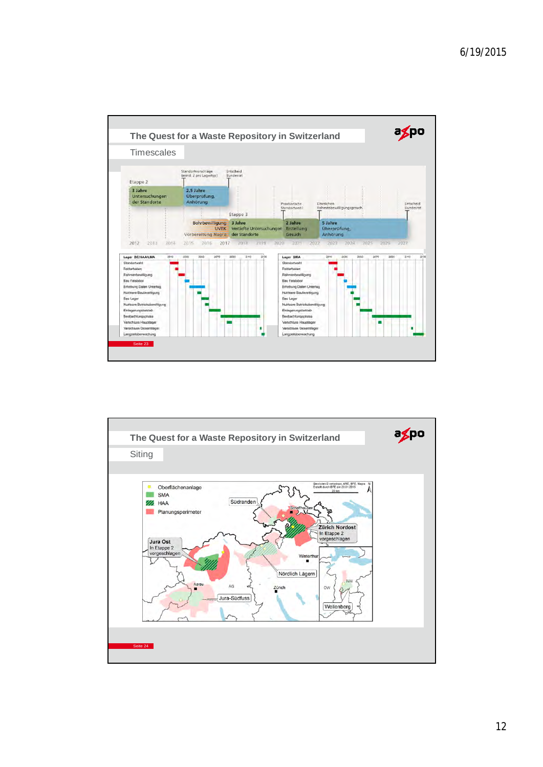